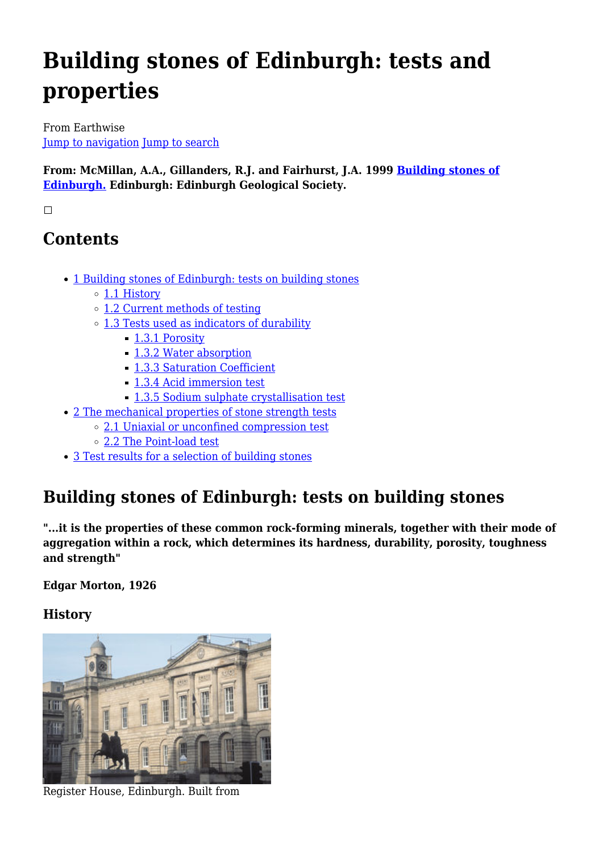# **Building stones of Edinburgh: tests and properties**

From Earthwise [Jump to navigation](#page--1-0) [Jump to search](#page--1-0)

**From: McMillan, A.A., Gillanders, R.J. and Fairhurst, J.A. 1999 [Building stones of](http://earthwise.bgs.ac.uk/index.php/Building_stones_of_Edinburgh._2nd_edition.) [Edinburgh.](http://earthwise.bgs.ac.uk/index.php/Building_stones_of_Edinburgh._2nd_edition.) Edinburgh: Edinburgh Geological Society.**

 $\Box$ 

# **Contents**

- [1](#page--1-0) [Building stones of Edinburgh: tests on building stones](#page--1-0)
	- [1.1](#page--1-0) [History](#page--1-0)
	- [1.2](#page--1-0) [Current methods of testing](#page--1-0)
	- [1.3](#page--1-0) [Tests used as indicators of durability](#page--1-0)
		- [1.3.1](#page--1-0) [Porosity](#page--1-0)
		- [1.3.2](#page--1-0) [Water absorption](#page--1-0)
		- [1.3.3](#page--1-0) [Saturation Coefficient](#page--1-0)
		- [1.3.4](#page--1-0) [Acid immersion test](#page--1-0)
		- [1.3.5](#page--1-0) [Sodium sulphate crystallisation test](#page--1-0)
- [2](#page--1-0) [The mechanical properties of stone strength tests](#page--1-0)
	- [2.1](#page--1-0) [Uniaxial or unconfined compression test](#page--1-0)
	- [2.2](#page--1-0) [The Point-load test](#page--1-0)
- [3](#page--1-0) [Test results for a selection of building stones](#page--1-0)

# **Building stones of Edinburgh: tests on building stones**

**"...it is the properties of these common rock-forming minerals, together with their mode of aggregation within a rock, which determines its hardness, durability, porosity, toughness and strength"**

**Edgar Morton, 1926**

# **History**



Register House, Edinburgh. Built from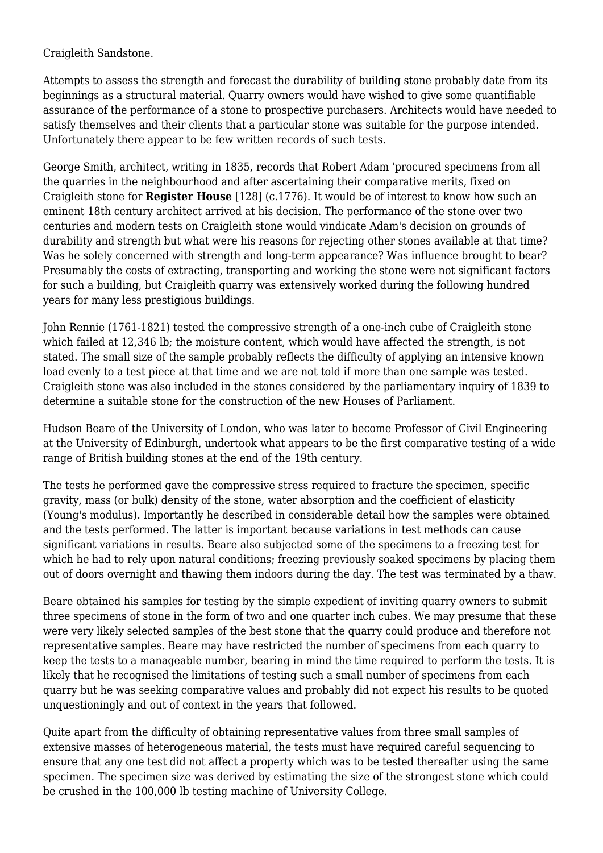Craigleith Sandstone.

Attempts to assess the strength and forecast the durability of building stone probably date from its beginnings as a structural material. Quarry owners would have wished to give some quantifiable assurance of the performance of a stone to prospective purchasers. Architects would have needed to satisfy themselves and their clients that a particular stone was suitable for the purpose intended. Unfortunately there appear to be few written records of such tests.

George Smith, architect, writing in 1835, records that Robert Adam 'procured specimens from all the quarries in the neighbourhood and after ascertaining their comparative merits, fixed on Craigleith stone for **Register House** [128] (c.1776). It would be of interest to know how such an eminent 18th century architect arrived at his decision. The performance of the stone over two centuries and modern tests on Craigleith stone would vindicate Adam's decision on grounds of durability and strength but what were his reasons for rejecting other stones available at that time? Was he solely concerned with strength and long-term appearance? Was influence brought to bear? Presumably the costs of extracting, transporting and working the stone were not significant factors for such a building, but Craigleith quarry was extensively worked during the following hundred years for many less prestigious buildings.

John Rennie (1761-1821) tested the compressive strength of a one-inch cube of Craigleith stone which failed at 12,346 lb; the moisture content, which would have affected the strength, is not stated. The small size of the sample probably reflects the difficulty of applying an intensive known load evenly to a test piece at that time and we are not told if more than one sample was tested. Craigleith stone was also included in the stones considered by the parliamentary inquiry of 1839 to determine a suitable stone for the construction of the new Houses of Parliament.

Hudson Beare of the University of London, who was later to become Professor of Civil Engineering at the University of Edinburgh, undertook what appears to be the first comparative testing of a wide range of British building stones at the end of the 19th century.

The tests he performed gave the compressive stress required to fracture the specimen, specific gravity, mass (or bulk) density of the stone, water absorption and the coefficient of elasticity (Young's modulus). Importantly he described in considerable detail how the samples were obtained and the tests performed. The latter is important because variations in test methods can cause significant variations in results. Beare also subjected some of the specimens to a freezing test for which he had to rely upon natural conditions; freezing previously soaked specimens by placing them out of doors overnight and thawing them indoors during the day. The test was terminated by a thaw.

Beare obtained his samples for testing by the simple expedient of inviting quarry owners to submit three specimens of stone in the form of two and one quarter inch cubes. We may presume that these were very likely selected samples of the best stone that the quarry could produce and therefore not representative samples. Beare may have restricted the number of specimens from each quarry to keep the tests to a manageable number, bearing in mind the time required to perform the tests. It is likely that he recognised the limitations of testing such a small number of specimens from each quarry but he was seeking comparative values and probably did not expect his results to be quoted unquestioningly and out of context in the years that followed.

Quite apart from the difficulty of obtaining representative values from three small samples of extensive masses of heterogeneous material, the tests must have required careful sequencing to ensure that any one test did not affect a property which was to be tested thereafter using the same specimen. The specimen size was derived by estimating the size of the strongest stone which could be crushed in the 100,000 lb testing machine of University College.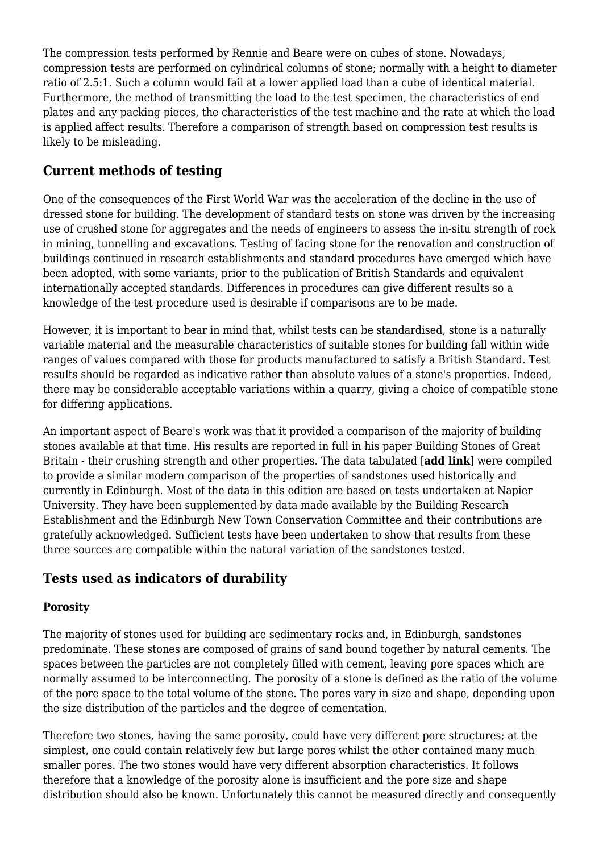The compression tests performed by Rennie and Beare were on cubes of stone. Nowadays, compression tests are performed on cylindrical columns of stone; normally with a height to diameter ratio of 2.5:1. Such a column would fail at a lower applied load than a cube of identical material. Furthermore, the method of transmitting the load to the test specimen, the characteristics of end plates and any packing pieces, the characteristics of the test machine and the rate at which the load is applied affect results. Therefore a comparison of strength based on compression test results is likely to be misleading.

# **Current methods of testing**

One of the consequences of the First World War was the acceleration of the decline in the use of dressed stone for building. The development of standard tests on stone was driven by the increasing use of crushed stone for aggregates and the needs of engineers to assess the in-situ strength of rock in mining, tunnelling and excavations. Testing of facing stone for the renovation and construction of buildings continued in research establishments and standard procedures have emerged which have been adopted, with some variants, prior to the publication of British Standards and equivalent internationally accepted standards. Differences in procedures can give different results so a knowledge of the test procedure used is desirable if comparisons are to be made.

However, it is important to bear in mind that, whilst tests can be standardised, stone is a naturally variable material and the measurable characteristics of suitable stones for building fall within wide ranges of values compared with those for products manufactured to satisfy a British Standard. Test results should be regarded as indicative rather than absolute values of a stone's properties. Indeed, there may be considerable acceptable variations within a quarry, giving a choice of compatible stone for differing applications.

An important aspect of Beare's work was that it provided a comparison of the majority of building stones available at that time. His results are reported in full in his paper Building Stones of Great Britain - their crushing strength and other properties. The data tabulated [**add link**] were compiled to provide a similar modern comparison of the properties of sandstones used historically and currently in Edinburgh. Most of the data in this edition are based on tests undertaken at Napier University. They have been supplemented by data made available by the Building Research Establishment and the Edinburgh New Town Conservation Committee and their contributions are gratefully acknowledged. Sufficient tests have been undertaken to show that results from these three sources are compatible within the natural variation of the sandstones tested.

# **Tests used as indicators of durability**

#### **Porosity**

The majority of stones used for building are sedimentary rocks and, in Edinburgh, sandstones predominate. These stones are composed of grains of sand bound together by natural cements. The spaces between the particles are not completely filled with cement, leaving pore spaces which are normally assumed to be interconnecting. The porosity of a stone is defined as the ratio of the volume of the pore space to the total volume of the stone. The pores vary in size and shape, depending upon the size distribution of the particles and the degree of cementation.

Therefore two stones, having the same porosity, could have very different pore structures; at the simplest, one could contain relatively few but large pores whilst the other contained many much smaller pores. The two stones would have very different absorption characteristics. It follows therefore that a knowledge of the porosity alone is insufficient and the pore size and shape distribution should also be known. Unfortunately this cannot be measured directly and consequently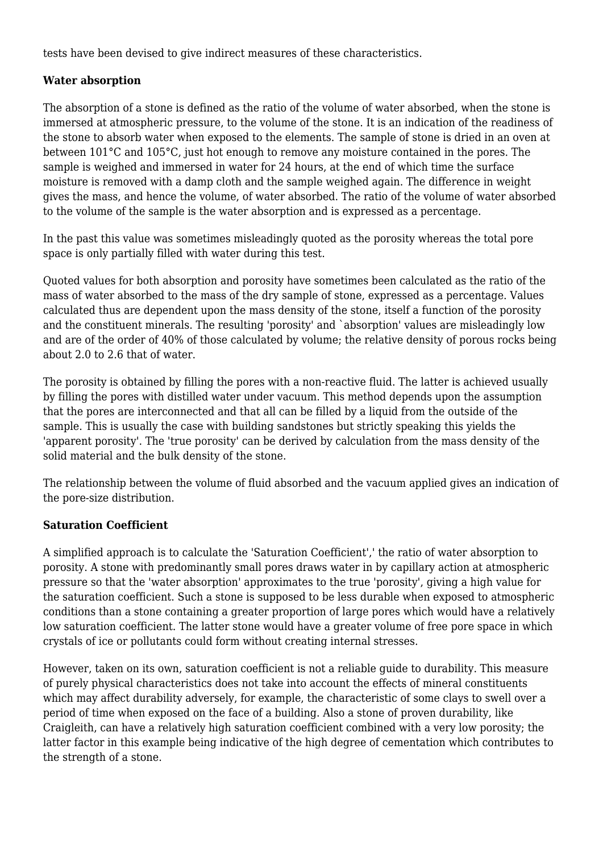tests have been devised to give indirect measures of these characteristics.

#### **Water absorption**

The absorption of a stone is defined as the ratio of the volume of water absorbed, when the stone is immersed at atmospheric pressure, to the volume of the stone. It is an indication of the readiness of the stone to absorb water when exposed to the elements. The sample of stone is dried in an oven at between 101°C and 105°C, just hot enough to remove any moisture contained in the pores. The sample is weighed and immersed in water for 24 hours, at the end of which time the surface moisture is removed with a damp cloth and the sample weighed again. The difference in weight gives the mass, and hence the volume, of water absorbed. The ratio of the volume of water absorbed to the volume of the sample is the water absorption and is expressed as a percentage.

In the past this value was sometimes misleadingly quoted as the porosity whereas the total pore space is only partially filled with water during this test.

Quoted values for both absorption and porosity have sometimes been calculated as the ratio of the mass of water absorbed to the mass of the dry sample of stone, expressed as a percentage. Values calculated thus are dependent upon the mass density of the stone, itself a function of the porosity and the constituent minerals. The resulting 'porosity' and `absorption' values are misleadingly low and are of the order of 40% of those calculated by volume; the relative density of porous rocks being about 2.0 to 2.6 that of water.

The porosity is obtained by filling the pores with a non-reactive fluid. The latter is achieved usually by filling the pores with distilled water under vacuum. This method depends upon the assumption that the pores are interconnected and that all can be filled by a liquid from the outside of the sample. This is usually the case with building sandstones but strictly speaking this yields the 'apparent porosity'. The 'true porosity' can be derived by calculation from the mass density of the solid material and the bulk density of the stone.

The relationship between the volume of fluid absorbed and the vacuum applied gives an indication of the pore-size distribution.

#### **Saturation Coefficient**

A simplified approach is to calculate the 'Saturation Coefficient',' the ratio of water absorption to porosity. A stone with predominantly small pores draws water in by capillary action at atmospheric pressure so that the 'water absorption' approximates to the true 'porosity', giving a high value for the saturation coefficient. Such a stone is supposed to be less durable when exposed to atmospheric conditions than a stone containing a greater proportion of large pores which would have a relatively low saturation coefficient. The latter stone would have a greater volume of free pore space in which crystals of ice or pollutants could form without creating internal stresses.

However, taken on its own, saturation coefficient is not a reliable guide to durability. This measure of purely physical characteristics does not take into account the effects of mineral constituents which may affect durability adversely, for example, the characteristic of some clays to swell over a period of time when exposed on the face of a building. Also a stone of proven durability, like Craigleith, can have a relatively high saturation coefficient combined with a very low porosity; the latter factor in this example being indicative of the high degree of cementation which contributes to the strength of a stone.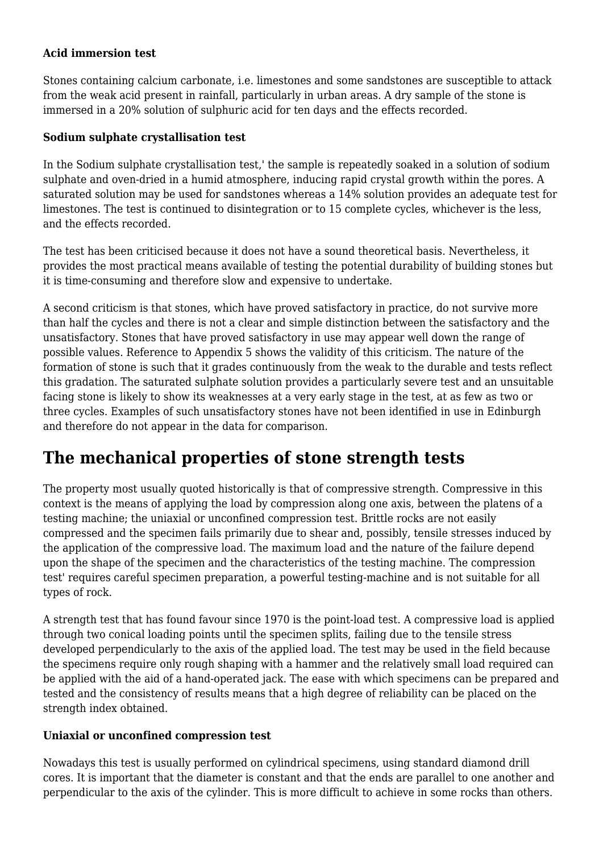#### **Acid immersion test**

Stones containing calcium carbonate, i.e. limestones and some sandstones are susceptible to attack from the weak acid present in rainfall, particularly in urban areas. A dry sample of the stone is immersed in a 20% solution of sulphuric acid for ten days and the effects recorded.

#### **Sodium sulphate crystallisation test**

In the Sodium sulphate crystallisation test,' the sample is repeatedly soaked in a solution of sodium sulphate and oven-dried in a humid atmosphere, inducing rapid crystal growth within the pores. A saturated solution may be used for sandstones whereas a 14% solution provides an adequate test for limestones. The test is continued to disintegration or to 15 complete cycles, whichever is the less, and the effects recorded.

The test has been criticised because it does not have a sound theoretical basis. Nevertheless, it provides the most practical means available of testing the potential durability of building stones but it is time-consuming and therefore slow and expensive to undertake.

A second criticism is that stones, which have proved satisfactory in practice, do not survive more than half the cycles and there is not a clear and simple distinction between the satisfactory and the unsatisfactory. Stones that have proved satisfactory in use may appear well down the range of possible values. Reference to Appendix 5 shows the validity of this criticism. The nature of the formation of stone is such that it grades continuously from the weak to the durable and tests reflect this gradation. The saturated sulphate solution provides a particularly severe test and an unsuitable facing stone is likely to show its weaknesses at a very early stage in the test, at as few as two or three cycles. Examples of such unsatisfactory stones have not been identified in use in Edinburgh and therefore do not appear in the data for comparison.

# **The mechanical properties of stone strength tests**

The property most usually quoted historically is that of compressive strength. Compressive in this context is the means of applying the load by compression along one axis, between the platens of a testing machine; the uniaxial or unconfined compression test. Brittle rocks are not easily compressed and the specimen fails primarily due to shear and, possibly, tensile stresses induced by the application of the compressive load. The maximum load and the nature of the failure depend upon the shape of the specimen and the characteristics of the testing machine. The compression test' requires careful specimen preparation, a powerful testing-machine and is not suitable for all types of rock.

A strength test that has found favour since 1970 is the point-load test. A compressive load is applied through two conical loading points until the specimen splits, failing due to the tensile stress developed perpendicularly to the axis of the applied load. The test may be used in the field because the specimens require only rough shaping with a hammer and the relatively small load required can be applied with the aid of a hand-operated jack. The ease with which specimens can be prepared and tested and the consistency of results means that a high degree of reliability can be placed on the strength index obtained.

#### **Uniaxial or unconfined compression test**

Nowadays this test is usually performed on cylindrical specimens, using standard diamond drill cores. It is important that the diameter is constant and that the ends are parallel to one another and perpendicular to the axis of the cylinder. This is more difficult to achieve in some rocks than others.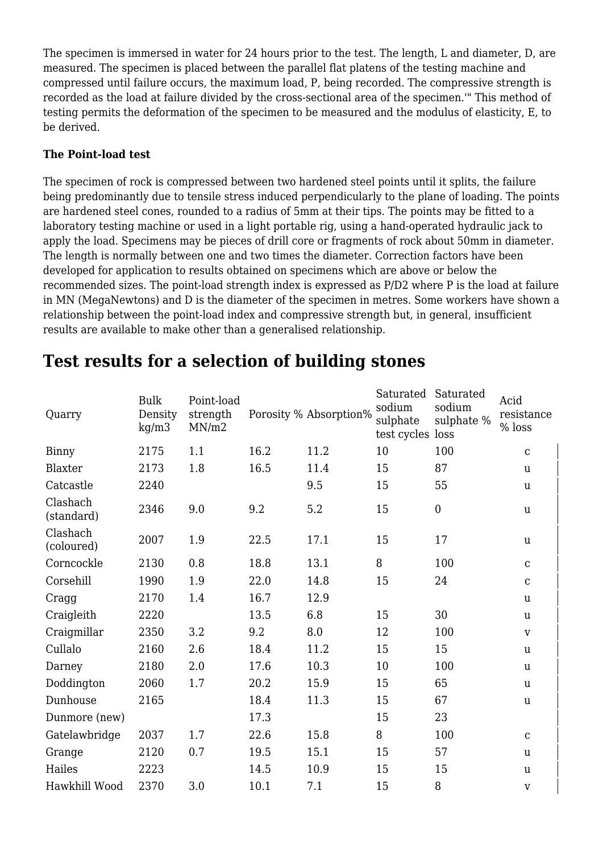The specimen is immersed in water for 24 hours prior to the test. The length, L and diameter, D, are measured. The specimen is placed between the parallel flat platens of the testing machine and compressed until failure occurs, the maximum load, P, being recorded. The compressive strength is recorded as the load at failure divided by the cross-sectional area of the specimen.'" This method of testing permits the deformation of the specimen to be measured and the modulus of elasticity, E, to be derived.

#### **The Point-load test**

The specimen of rock is compressed between two hardened steel points until it splits, the failure being predominantly due to tensile stress induced perpendicularly to the plane of loading. The points are hardened steel cones, rounded to a radius of 5mm at their tips. The points may be fitted to a laboratory testing machine or used in a light portable rig, using a hand-operated hydraulic jack to apply the load. Specimens may be pieces of drill core or fragments of rock about 50mm in diameter. The length is normally between one and two times the diameter. Correction factors have been developed for application to results obtained on specimens which are above or below the recommended sizes. The point-load strength index is expressed as P/D2 where P is the load at failure in MN (MegaNewtons) and D is the diameter of the specimen in metres. Some workers have shown a relationship between the point-load index and compressive strength but, in general, insufficient results are available to make other than a generalised relationship.

| Quarry                 | <b>Bulk</b><br>Density<br>kg/m3 | Point-load<br>strength<br>MN/m2 |      | Porosity % Absorption% | Saturated<br>sodium<br>sulphate<br>test cycles loss | Saturated<br>sodium<br>sulphate % | Acid<br>resistance<br>% loss |
|------------------------|---------------------------------|---------------------------------|------|------------------------|-----------------------------------------------------|-----------------------------------|------------------------------|
| Binny                  | 2175                            | 1.1                             | 16.2 | 11.2                   | 10                                                  | 100                               | $\mathbf C$                  |
| Blaxter                | 2173                            | 1.8                             | 16.5 | 11.4                   | 15                                                  | 87                                | <u>u</u>                     |
| Catcastle              | 2240                            |                                 |      | 9.5                    | 15                                                  | 55                                | u                            |
| Clashach<br>(standard) | 2346                            | 9.0                             | 9.2  | 5.2                    | 15                                                  | $\boldsymbol{0}$                  | u                            |
| Clashach<br>(coloured) | 2007                            | 1.9                             | 22.5 | 17.1                   | 15                                                  | 17                                | u                            |
| Corncockle             | 2130                            | 0.8                             | 18.8 | 13.1                   | 8                                                   | 100                               | $\mathbf C$                  |
| Corsehill              | 1990                            | 1.9                             | 22.0 | 14.8                   | 15                                                  | 24                                | $\mathbf C$                  |
| Cragg                  | 2170                            | 1.4                             | 16.7 | 12.9                   |                                                     |                                   | <u>u</u>                     |
| Craigleith             | 2220                            |                                 | 13.5 | 6.8                    | 15                                                  | 30                                | u                            |
| Craigmillar            | 2350                            | 3.2                             | 9.2  | 8.0                    | 12                                                  | 100                               | $\mathbf{V}$                 |
| Cullalo                | 2160                            | 2.6                             | 18.4 | 11.2                   | 15                                                  | 15                                | u                            |
| Darney                 | 2180                            | 2.0                             | 17.6 | 10.3                   | 10                                                  | 100                               | u                            |
| Doddington             | 2060                            | 1.7                             | 20.2 | 15.9                   | 15                                                  | 65                                | <b>u</b>                     |
| Dunhouse               | 2165                            |                                 | 18.4 | 11.3                   | 15                                                  | 67                                | u                            |
| Dunmore (new)          |                                 |                                 | 17.3 |                        | 15                                                  | 23                                |                              |
| Gatelawbridge          | 2037                            | 1.7                             | 22.6 | 15.8                   | 8                                                   | 100                               | ${\bf C}$                    |
| Grange                 | 2120                            | 0.7                             | 19.5 | 15.1                   | 15                                                  | 57                                | u                            |
| Hailes                 | 2223                            |                                 | 14.5 | 10.9                   | 15                                                  | 15                                | u                            |
| Hawkhill Wood          | 2370                            | 3.0                             | 10.1 | 7.1                    | 15                                                  | 8                                 | $\mathbf{V}$                 |

# **Test results for a selection of building stones**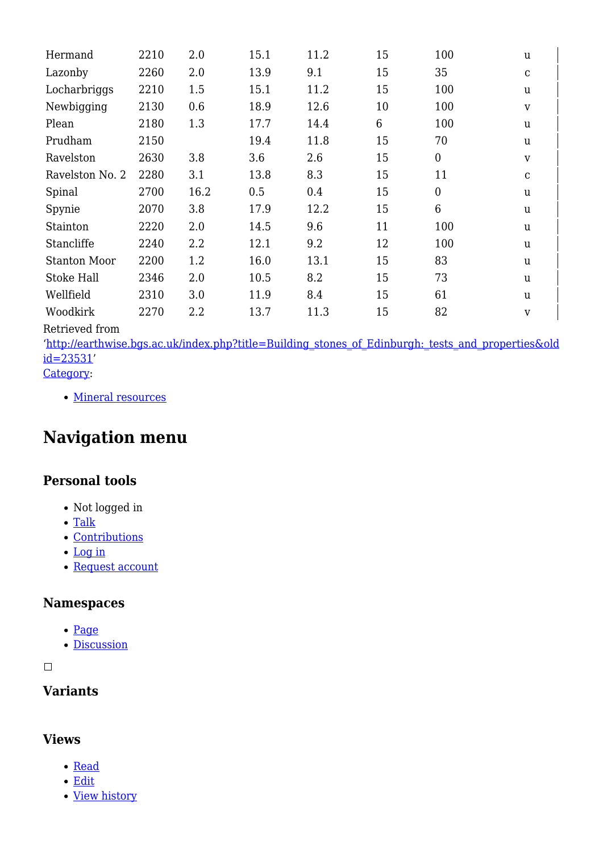| Hermand             | 2210 | 2.0  | 15.1 | 11.2 | 15 | 100            | u            |
|---------------------|------|------|------|------|----|----------------|--------------|
| Lazonby             | 2260 | 2.0  | 13.9 | 9.1  | 15 | 35             | ${\bf C}$    |
| Locharbriggs        | 2210 | 1.5  | 15.1 | 11.2 | 15 | 100            | u            |
| Newbigging          | 2130 | 0.6  | 18.9 | 12.6 | 10 | 100            | V            |
| Plean               | 2180 | 1.3  | 17.7 | 14.4 | 6  | 100            | u            |
| Prudham             | 2150 |      | 19.4 | 11.8 | 15 | 70             | u            |
| Ravelston           | 2630 | 3.8  | 3.6  | 2.6  | 15 | $\overline{0}$ | $\mathbf{V}$ |
| Ravelston No. 2     | 2280 | 3.1  | 13.8 | 8.3  | 15 | 11             | $\mathbf C$  |
| Spinal              | 2700 | 16.2 | 0.5  | 0.4  | 15 | $\overline{0}$ | u            |
| Spynie              | 2070 | 3.8  | 17.9 | 12.2 | 15 | 6              | u            |
| Stainton            | 2220 | 2.0  | 14.5 | 9.6  | 11 | 100            | u            |
| Stancliffe          | 2240 | 2.2  | 12.1 | 9.2  | 12 | 100            | u            |
| <b>Stanton Moor</b> | 2200 | 1.2  | 16.0 | 13.1 | 15 | 83             | u            |
| Stoke Hall          | 2346 | 2.0  | 10.5 | 8.2  | 15 | 73             | u            |
| Wellfield           | 2310 | 3.0  | 11.9 | 8.4  | 15 | 61             | u            |
| Woodkirk            | 2270 | 2.2  | 13.7 | 11.3 | 15 | 82             | V            |

Retrieved from

'[http://earthwise.bgs.ac.uk/index.php?title=Building\\_stones\\_of\\_Edinburgh:\\_tests\\_and\\_properties&old](http://earthwise.bgs.ac.uk/index.php?title=Building_stones_of_Edinburgh:_tests_and_properties&oldid=23531) [id=23531'](http://earthwise.bgs.ac.uk/index.php?title=Building_stones_of_Edinburgh:_tests_and_properties&oldid=23531)

[Category](http://earthwise.bgs.ac.uk/index.php/Special:Categories):

• [Mineral resources](http://earthwise.bgs.ac.uk/index.php/Category:Mineral_resources)

# **Navigation menu**

# **Personal tools**

- Not logged in
- [Talk](http://earthwise.bgs.ac.uk/index.php/Special:MyTalk)
- [Contributions](http://earthwise.bgs.ac.uk/index.php/Special:MyContributions)
- [Log in](http://earthwise.bgs.ac.uk/index.php?title=Special:UserLogin&returnto=Building+stones+of+Edinburgh%3A+tests+and+properties&returntoquery=action%3Dmpdf)
- [Request account](http://earthwise.bgs.ac.uk/index.php/Special:RequestAccount)

#### **Namespaces**

- [Page](http://earthwise.bgs.ac.uk/index.php/Building_stones_of_Edinburgh:_tests_and_properties)
- [Discussion](http://earthwise.bgs.ac.uk/index.php?title=Talk:Building_stones_of_Edinburgh:_tests_and_properties&action=edit&redlink=1)

 $\Box$ 

# **Variants**

### **Views**

- [Read](http://earthwise.bgs.ac.uk/index.php/Building_stones_of_Edinburgh:_tests_and_properties)
- [Edit](http://earthwise.bgs.ac.uk/index.php?title=Building_stones_of_Edinburgh:_tests_and_properties&action=edit)
- [View history](http://earthwise.bgs.ac.uk/index.php?title=Building_stones_of_Edinburgh:_tests_and_properties&action=history)